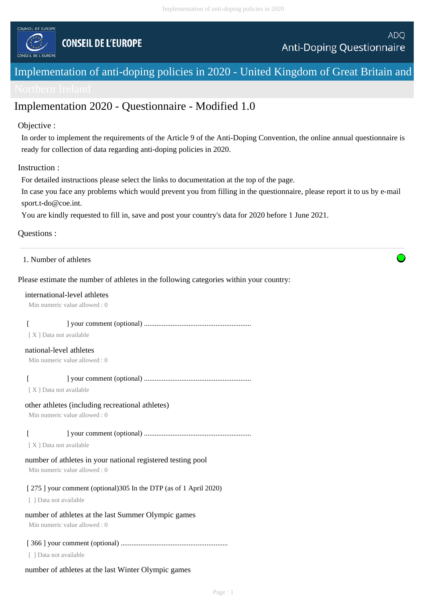

# Implementation of anti-doping policies in 2020 - United Kingdom of Great Britain and

# Implementation 2020 - Questionnaire - Modified 1.0

# Objective :

In order to implement the requirements of the Article 9 of the Anti-Doping Convention, the online annual questionnaire is ready for collection of data regarding anti-doping policies in 2020.

# Instruction :

For detailed instructions please select the links to documentation at the top of the page.

In case you face any problems which would prevent you from filling in the questionnaire, please report it to us by e-mail sport.t-do@coe.int.

You are kindly requested to fill in, save and post your country's data for 2020 before 1 June 2021.

#### Questions :

# 1. Number of athletes

# Please estimate the number of athletes in the following categories within your country:

#### international-level athletes

Min numeric value allowed : 0

|--|

[ X ] Data not available

#### national-level athletes

Min numeric value allowed : 0

[ ] your comment (optional) ............................................................

[ X ] Data not available

# other athletes (including recreational athletes)

Min numeric value allowed : 0

[ ] your comment (optional) ............................................................

[ X ] Data not available

# number of athletes in your national registered testing pool

Min numeric value allowed : 0

#### [ 275 ] your comment (optional) 305 In the DTP (as of 1 April 2020)

[ ] Data not available

# number of athletes at the last Summer Olympic games

Min numeric value allowed : 0

#### [ 366 ] your comment (optional) ............................................................

[ ] Data not available

# number of athletes at the last Winter Olympic games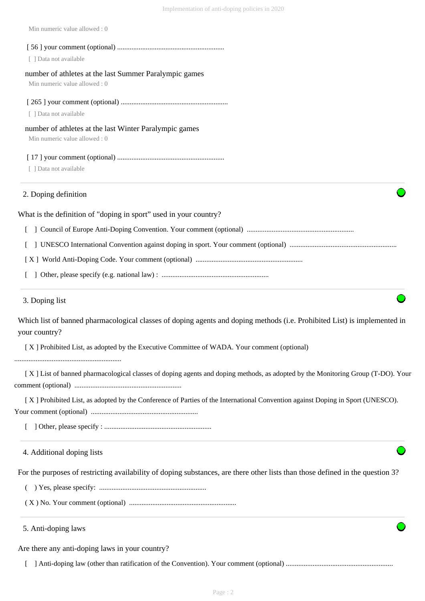| Min numeric value allowed: 0                                                                                                               |  |
|--------------------------------------------------------------------------------------------------------------------------------------------|--|
|                                                                                                                                            |  |
| [ ] Data not available                                                                                                                     |  |
| number of athletes at the last Summer Paralympic games<br>Min numeric value allowed: 0                                                     |  |
| [ ] Data not available                                                                                                                     |  |
| number of athletes at the last Winter Paralympic games<br>Min numeric value allowed: 0                                                     |  |
| [ ] Data not available                                                                                                                     |  |
| 2. Doping definition                                                                                                                       |  |
| What is the definition of "doping in sport" used in your country?                                                                          |  |
|                                                                                                                                            |  |
|                                                                                                                                            |  |
|                                                                                                                                            |  |
|                                                                                                                                            |  |
| 3. Doping list                                                                                                                             |  |
| Which list of banned pharmacological classes of doping agents and doping methods (i.e. Prohibited List) is implemented in<br>your country? |  |
| [X] Prohibited List, as adopted by the Executive Committee of WADA. Your comment (optional)                                                |  |
| [X] List of banned pharmacological classes of doping agents and doping methods, as adopted by the Monitoring Group (T-DO). Your            |  |
| [X] Prohibited List, as adopted by the Conference of Parties of the International Convention against Doping in Sport (UNESCO).             |  |
|                                                                                                                                            |  |
| 4. Additional doping lists                                                                                                                 |  |
| For the purposes of restricting availability of doping substances, are there other lists than those defined in the question 3?             |  |
|                                                                                                                                            |  |
|                                                                                                                                            |  |
| 5. Anti-doping laws                                                                                                                        |  |
| Are there any anti-doping laws in your country?                                                                                            |  |
|                                                                                                                                            |  |

Implementation of anti-doping policies in 2020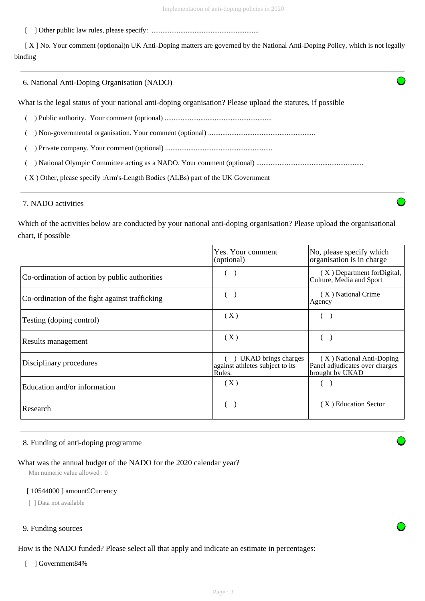[ ] Other public law rules, please specify: ............................................................

 [ X ] No. Your comment (optional)n UK Anti-Doping matters are governed by the National Anti-Doping Policy, which is not legally binding

| 6. National Anti-Doping Organisation (NADO)                                                                 |  |
|-------------------------------------------------------------------------------------------------------------|--|
| What is the legal status of your national anti-doping organisation? Please upload the statutes, if possible |  |
|                                                                                                             |  |
|                                                                                                             |  |
|                                                                                                             |  |
|                                                                                                             |  |
| (X) Other, please specify :Arm's-Length Bodies (ALBs) part of the UK Government                             |  |
|                                                                                                             |  |

# 7. NADO activities

Which of the activities below are conducted by your national anti-doping organisation? Please upload the organisational chart, if possible

|                                                | Yes. Your comment<br>(optional)                                  | No, please specify which<br>organisation is in charge                         |
|------------------------------------------------|------------------------------------------------------------------|-------------------------------------------------------------------------------|
| Co-ordination of action by public authorities  |                                                                  | (X) Department for Digital,<br>Culture, Media and Sport                       |
| Co-ordination of the fight against trafficking |                                                                  | (X) National Crime<br>Agency                                                  |
| Testing (doping control)                       | (X)                                                              |                                                                               |
| Results management                             | (X)                                                              |                                                                               |
| Disciplinary procedures                        | UKAD brings charges<br>against athletes subject to its<br>Rules. | (X) National Anti-Doping<br>Panel adjudicates over charges<br>brought by UKAD |
| Education and/or information                   | (X)                                                              |                                                                               |
| Research                                       |                                                                  | (X) Education Sector                                                          |

#### 8. Funding of anti-doping programme

# What was the annual budget of the NADO for the 2020 calendar year?

Min numeric value allowed : 0

#### [ 10544000 ] amount£Currency

[ ] Data not available

#### 9. Funding sources

How is the NADO funded? Please select all that apply and indicate an estimate in percentages:

[ ] Government84%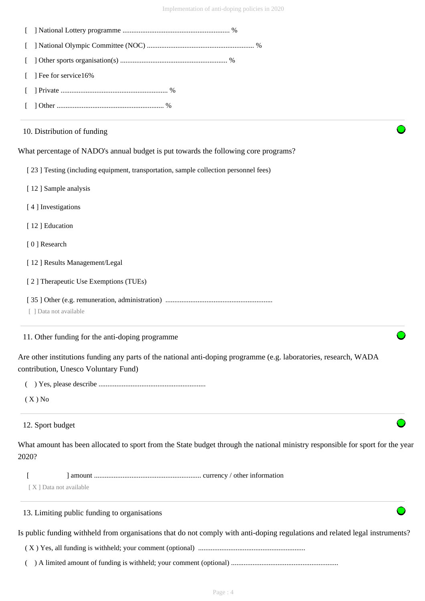| ] Fee for service16%                                                                                                                                      |
|-----------------------------------------------------------------------------------------------------------------------------------------------------------|
|                                                                                                                                                           |
|                                                                                                                                                           |
| 10. Distribution of funding                                                                                                                               |
| What percentage of NADO's annual budget is put towards the following core programs?                                                                       |
| [23] Testing (including equipment, transportation, sample collection personnel fees)                                                                      |
| [12] Sample analysis                                                                                                                                      |
| [4] Investigations                                                                                                                                        |
| [12] Education                                                                                                                                            |
| [0] Research                                                                                                                                              |
| [12] Results Management/Legal                                                                                                                             |
| [2] Therapeutic Use Exemptions (TUEs)                                                                                                                     |
| [ ] Data not available                                                                                                                                    |
| 11. Other funding for the anti-doping programme                                                                                                           |
| Are other institutions funding any parts of the national anti-doping programme (e.g. laboratories, research, WADA<br>contribution, Unesco Voluntary Fund) |
|                                                                                                                                                           |
| $(X)$ No                                                                                                                                                  |
| 12. Sport budget                                                                                                                                          |
| What amount has been allocated to sport from the State budget through the national ministry responsible for sport for the year<br>2020?                   |
| [X] Data not available                                                                                                                                    |
| 13. Limiting public funding to organisations                                                                                                              |
| Is public funding withheld from organisations that do not comply with anti-doping regulations and related legal instruments?                              |
|                                                                                                                                                           |
|                                                                                                                                                           |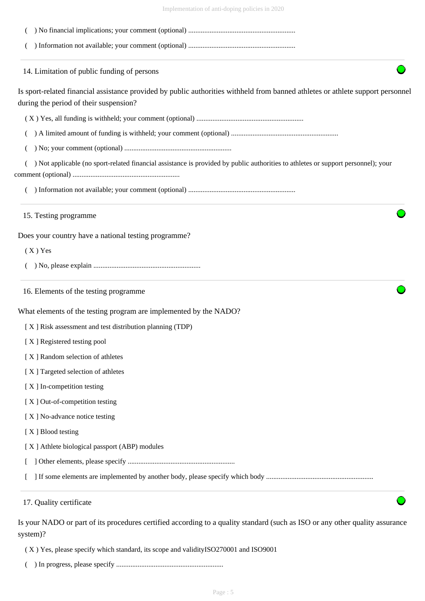| Implementation of anti-doping policies in 2020 |  |  |
|------------------------------------------------|--|--|
|                                                |  |  |

| 14. Limitation of public funding of persons                                                                                       |
|-----------------------------------------------------------------------------------------------------------------------------------|
| Is sport-related financial assistance provided by public authorities withheld from banned athletes or athlete support personnel   |
| during the period of their suspension?                                                                                            |
|                                                                                                                                   |
|                                                                                                                                   |
|                                                                                                                                   |
| ) Not applicable (no sport-related financial assistance is provided by public authorities to athletes or support personnel); your |
|                                                                                                                                   |
| 15. Testing programme                                                                                                             |
| Does your country have a national testing programme?                                                                              |
| $(X)$ Yes                                                                                                                         |
|                                                                                                                                   |
| 16. Elements of the testing programme                                                                                             |
| What elements of the testing program are implemented by the NADO?                                                                 |
| [X] Risk assessment and test distribution planning (TDP)                                                                          |
| [X] Registered testing pool                                                                                                       |
| [X] Random selection of athletes                                                                                                  |
| [X] Targeted selection of athletes                                                                                                |
| [X] In-competition testing                                                                                                        |
| [X] Out-of-competition testing                                                                                                    |
| [X] No-advance notice testing                                                                                                     |
| [X] Blood testing                                                                                                                 |
| [X] Athlete biological passport (ABP) modules                                                                                     |
|                                                                                                                                   |
|                                                                                                                                   |
|                                                                                                                                   |

( X ) Yes, please specify which standard, its scope and validityISO270001 and ISO9001

( ) In progress, please specify ............................................................

system)?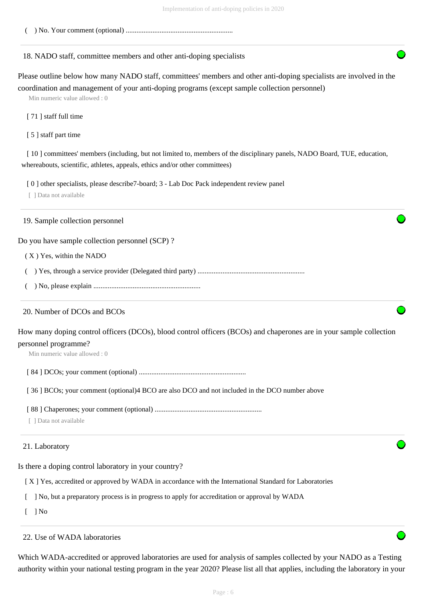( ) No. Your comment (optional) ............................................................

#### 18. NADO staff, committee members and other anti-doping specialists

Please outline below how many NADO staff, committees' members and other anti-doping specialists are involved in the coordination and management of your anti-doping programs (except sample collection personnel)

Min numeric value allowed : 0

[ 71 ] staff full time

[ 5 ] staff part time

[10] committees' members (including, but not limited to, members of the disciplinary panels, NADO Board, TUE, education, whereabouts, scientific, athletes, appeals, ethics and/or other committees)

[ 0 ] other specialists, please describe7-board; 3 - Lab Doc Pack independent review panel

[ ] Data not available

#### 19. Sample collection personnel

Do you have sample collection personnel (SCP) ?

#### ( X ) Yes, within the NADO

- ( ) Yes, through a service provider (Delegated third party) ............................................................
- ( ) No, please explain ............................................................

#### 20. Number of DCOs and BCOs

How many doping control officers (DCOs), blood control officers (BCOs) and chaperones are in your sample collection personnel programme?

Min numeric value allowed : 0

[ 84 ] DCOs; your comment (optional) ............................................................

[36] BCOs; your comment (optional)4 BCO are also DCO and not included in the DCO number above

[ 88 ] Chaperones; your comment (optional) ............................................................

[ ] Data not available

#### 21. Laboratory

Is there a doping control laboratory in your country?

[ X ] Yes, accredited or approved by WADA in accordance with the International Standard for Laboratories

[ ] No, but a preparatory process is in progress to apply for accreditation or approval by WADA

 $\lceil$   $\rceil$  No

#### 22. Use of WADA laboratories

Which WADA-accredited or approved laboratories are used for analysis of samples collected by your NADO as a Testing authority within your national testing program in the year 2020? Please list all that applies, including the laboratory in your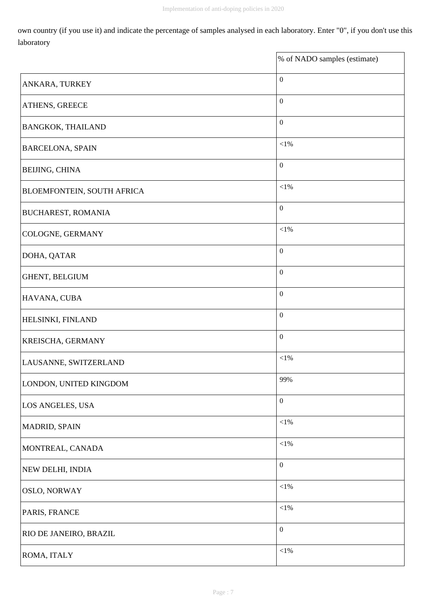$\overline{a}$ 

own country (if you use it) and indicate the percentage of samples analysed in each laboratory. Enter "0", if you don't use this laboratory

|                                   | % of NADO samples (estimate) |
|-----------------------------------|------------------------------|
| ANKARA, TURKEY                    | $\boldsymbol{0}$             |
| ATHENS, GREECE                    | $\boldsymbol{0}$             |
| <b>BANGKOK, THAILAND</b>          | $\boldsymbol{0}$             |
| <b>BARCELONA, SPAIN</b>           | $<\!\!1\%$                   |
| BEIJING, CHINA                    | $\boldsymbol{0}$             |
| <b>BLOEMFONTEIN, SOUTH AFRICA</b> | $<\!\!1\%$                   |
| <b>BUCHAREST, ROMANIA</b>         | $\boldsymbol{0}$             |
| COLOGNE, GERMANY                  | $<\!\!1\%$                   |
| DOHA, QATAR                       | $\boldsymbol{0}$             |
| GHENT, BELGIUM                    | $\boldsymbol{0}$             |
| HAVANA, CUBA                      | $\boldsymbol{0}$             |
| HELSINKI, FINLAND                 | $\boldsymbol{0}$             |
| KREISCHA, GERMANY                 | $\boldsymbol{0}$             |
| LAUSANNE, SWITZERLAND             | $<\!\!1\%$                   |
| LONDON, UNITED KINGDOM            | 99%                          |
| LOS ANGELES, USA                  | $\boldsymbol{0}$             |
| MADRID, SPAIN                     | ${<}1\%$                     |
| MONTREAL, CANADA                  | ${<}1\%$                     |
| NEW DELHI, INDIA                  | $\boldsymbol{0}$             |
| OSLO, NORWAY                      | $<\!\!1\%$                   |
| PARIS, FRANCE                     | ${<}1\%$                     |
| RIO DE JANEIRO, BRAZIL            | $\boldsymbol{0}$             |
| ROMA, ITALY                       | ${<}1\%$                     |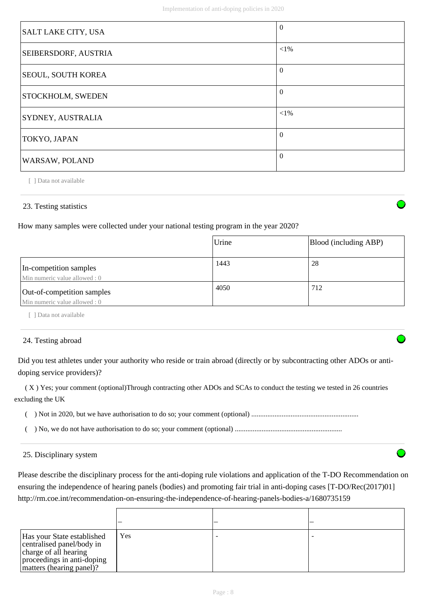| SALT LAKE CITY, USA       | $\overline{0}$ |
|---------------------------|----------------|
| SEIBERSDORF, AUSTRIA      | ${<}1\%$       |
| <b>SEOUL, SOUTH KOREA</b> | $\Omega$       |
| <b>STOCKHOLM, SWEDEN</b>  | $\Omega$       |
| SYDNEY, AUSTRALIA         | ${<}1\%$       |
| TOKYO, JAPAN              | $\Omega$       |
| WARSAW, POLAND            | $\Omega$       |

[ ] Data not available

# 23. Testing statistics

How many samples were collected under your national testing program in the year 2020?

|                                                             | Urine | Blood (including ABP) |
|-------------------------------------------------------------|-------|-----------------------|
| In-competition samples<br>Min numeric value allowed : 0     | 1443  | 28                    |
| Out-of-competition samples<br>Min numeric value allowed : 0 | 4050  | 712                   |

[ ] Data not available

# 24. Testing abroad

Did you test athletes under your authority who reside or train abroad (directly or by subcontracting other ADOs or antidoping service providers)?

 ( X ) Yes; your comment (optional)Through contracting other ADOs and SCAs to conduct the testing we tested in 26 countries excluding the UK

( ) Not in 2020, but we have authorisation to do so; your comment (optional) ............................................................

( ) No, we do not have authorisation to do so; your comment (optional) ............................................................

# 25. Disciplinary system

Please describe the disciplinary process for the anti-doping rule violations and application of the T-DO Recommendation on ensuring the independence of hearing panels (bodies) and promoting fair trial in anti-doping cases [T-DO/Rec(2017)01] http://rm.coe.int/recommendation-on-ensuring-the-independence-of-hearing-panels-bodies-a/1680735159

| Has your State established<br>centralised panel/body in<br>charge of all hearing<br>proceedings in anti-doping<br>matters (hearing panel)? | Yes |  |
|--------------------------------------------------------------------------------------------------------------------------------------------|-----|--|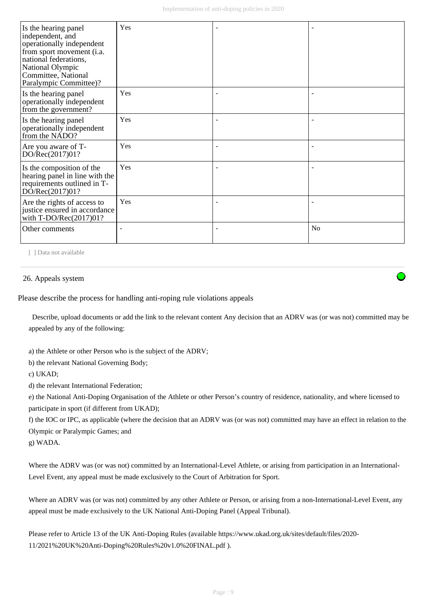| Is the hearing panel<br>independent, and<br>operationally independent<br>from sport movement (i.a.<br>national federations,<br>National Olympic<br>Committee, National<br>Paralympic Committee)? | Yes |                |
|--------------------------------------------------------------------------------------------------------------------------------------------------------------------------------------------------|-----|----------------|
| Is the hearing panel<br>operationally independent<br>from the government?                                                                                                                        | Yes |                |
| Is the hearing panel<br>operationally independent<br>from the NADO?                                                                                                                              | Yes |                |
| Are you aware of T-<br>DO/Rec(2017)01?                                                                                                                                                           | Yes |                |
| Is the composition of the<br>hearing panel in line with the<br>requirements outlined in T-<br>DO/Rec(2017)01?                                                                                    | Yes |                |
| Are the rights of access to<br>justice ensured in accordance<br>with $T\text{-DO/Rec}(2017)01?$                                                                                                  | Yes |                |
| Other comments                                                                                                                                                                                   |     | N <sub>o</sub> |

[ ] Data not available

#### 26. Appeals system

Please describe the process for handling anti-roping rule violations appeals

 Describe, upload documents or add the link to the relevant content Any decision that an ADRV was (or was not) committed may be appealed by any of the following:

a) the Athlete or other Person who is the subject of the ADRV;

b) the relevant National Governing Body;

c) UKAD;

d) the relevant International Federation;

e) the National Anti-Doping Organisation of the Athlete or other Person's country of residence, nationality, and where licensed to participate in sport (if different from UKAD);

f) the IOC or IPC, as applicable (where the decision that an ADRV was (or was not) committed may have an effect in relation to the Olympic or Paralympic Games; and

g) WADA.

Where the ADRV was (or was not) committed by an International-Level Athlete, or arising from participation in an International-Level Event, any appeal must be made exclusively to the Court of Arbitration for Sport.

Where an ADRV was (or was not) committed by any other Athlete or Person, or arising from a non-International-Level Event, any appeal must be made exclusively to the UK National Anti-Doping Panel (Appeal Tribunal).

Please refer to Article 13 of the UK Anti-Doping Rules (available https://www.ukad.org.uk/sites/default/files/2020- 11/2021%20UK%20Anti-Doping%20Rules%20v1.0%20FINAL.pdf ).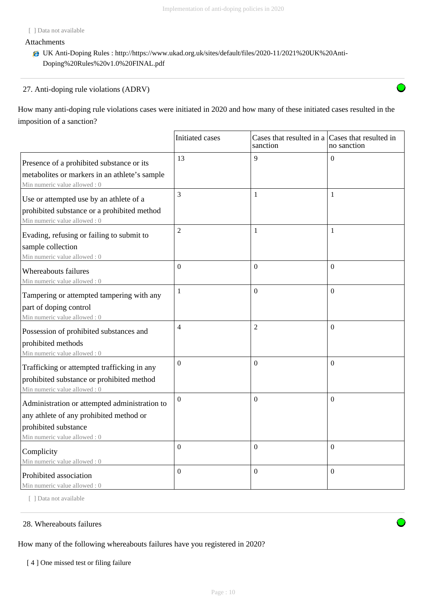## Attachments

UK Anti-Doping Rules : http://https://www.ukad.org.uk/sites/default/files/2020-11/2021%20UK%20Anti-Doping%20Rules%20v1.0%20FINAL.pdf

# 27. Anti-doping rule violations (ADRV)

How many anti-doping rule violations cases were initiated in 2020 and how many of these initiated cases resulted in the imposition of a sanction?

|                                                                                                                          | Initiated cases  | Cases that resulted in a $\vert$ Cases that resulted in<br>sanction | no sanction      |
|--------------------------------------------------------------------------------------------------------------------------|------------------|---------------------------------------------------------------------|------------------|
| Presence of a prohibited substance or its                                                                                | 13               | $\mathbf{Q}$                                                        | $\Omega$         |
| metabolites or markers in an athlete's sample<br>Min numeric value allowed: 0                                            |                  |                                                                     |                  |
| Use or attempted use by an athlete of a                                                                                  | 3                | 1                                                                   | 1                |
| prohibited substance or a prohibited method<br>Min numeric value allowed: 0                                              |                  |                                                                     |                  |
| Evading, refusing or failing to submit to                                                                                | $\overline{2}$   | $\mathbf{1}$                                                        | $\mathbf{1}$     |
| sample collection<br>Min numeric value allowed: 0                                                                        |                  |                                                                     |                  |
| Whereabouts failures<br>Min numeric value allowed: 0                                                                     | $\boldsymbol{0}$ | $\boldsymbol{0}$                                                    | $\boldsymbol{0}$ |
| Tampering or attempted tampering with any                                                                                | 1                | $\overline{0}$                                                      | $\Omega$         |
| part of doping control<br>Min numeric value allowed: 0                                                                   |                  |                                                                     |                  |
| Possession of prohibited substances and                                                                                  | $\overline{4}$   | $\overline{2}$                                                      | $\Omega$         |
| prohibited methods<br>Min numeric value allowed: 0                                                                       |                  |                                                                     |                  |
| Trafficking or attempted trafficking in any<br>prohibited substance or prohibited method<br>Min numeric value allowed: 0 | $\boldsymbol{0}$ | $\boldsymbol{0}$                                                    | $\Omega$         |
| Administration or attempted administration to                                                                            | $\Omega$         | $\Omega$                                                            | $\Omega$         |
| any athlete of any prohibited method or                                                                                  |                  |                                                                     |                  |
| prohibited substance<br>Min numeric value allowed: 0                                                                     |                  |                                                                     |                  |
| Complicity                                                                                                               | $\overline{0}$   | $\overline{0}$                                                      | $\Omega$         |
| Min numeric value allowed: 0                                                                                             |                  |                                                                     |                  |
| Prohibited association<br>Min numeric value allowed : 0                                                                  | $\Omega$         | $\Omega$                                                            | $\Omega$         |

[ ] Data not available

# 28. Whereabouts failures

How many of the following whereabouts failures have you registered in 2020?

[4] One missed test or filing failure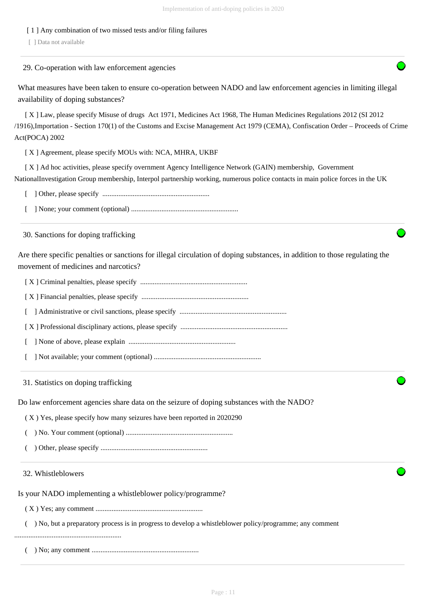# [ 1 ] Any combination of two missed tests and/or filing failures

[ ] Data not available

# 29. Co-operation with law enforcement agencies

What measures have been taken to ensure co-operation between NADO and law enforcement agencies in limiting illegal availability of doping substances?

 [ X ] Law, please specify Misuse of drugs Act 1971, Medicines Act 1968, The Human Medicines Regulations 2012 (SI 2012 /1916),Importation - Section 170(1) of the Customs and Excise Management Act 1979 (CEMA), Confiscation Order – Proceeds of Crime Act(POCA) 2002

[ X ] Agreement, please specify MOUs with: NCA, MHRA, UKBF

 [ X ] Ad hoc activities, please specify overnment Agency Intelligence Network (GAIN) membership, Government NationalInvestigation Group membership, Interpol partnership working, numerous police contacts in main police forces in the UK

[ ] Other, please specify ............................................................

[ ] None; your comment (optional) ............................................................

30. Sanctions for doping trafficking

Are there specific penalties or sanctions for illegal circulation of doping substances, in addition to those regulating the movement of medicines and narcotics?

[ X ] Criminal penalties, please specify ............................................................

[ X ] Financial penalties, please specify ............................................................

[ ] Administrative or civil sanctions, please specify ............................................................

[ X ] Professional disciplinary actions, please specify ............................................................

- [ ] None of above, please explain ............................................................
- [ ] Not available; your comment (optional) ............................................................

31. Statistics on doping trafficking

Do law enforcement agencies share data on the seizure of doping substances with the NADO?

( X ) Yes, please specify how many seizures have been reported in 2020290

( ) No. Your comment (optional) ............................................................

( ) Other, please specify ............................................................

32. Whistleblowers

Is your NADO implementing a whistleblower policy/programme?

( X ) Yes; any comment ............................................................

( ) No, but a preparatory process is in progress to develop a whistleblower policy/programme; any comment

............................................................

( ) No; any comment ............................................................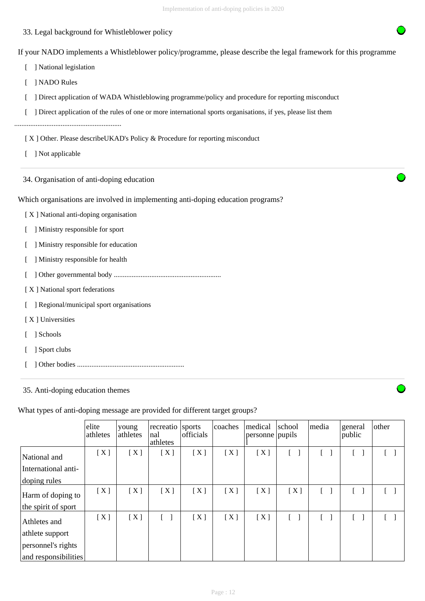# 33. Legal background for Whistleblower policy

If your NADO implements a Whistleblower policy/programme, please describe the legal framework for this programme

- [ ] National legislation
- [ ] NADO Rules
- [  $\Box$ ] Direct application of WADA Whistleblowing programme/policy and procedure for reporting misconduct
- [ ] Direct application of the rules of one or more international sports organisations, if yes, please list them

............................................................

- [X] Other. Please describeUKAD's Policy & Procedure for reporting misconduct
- [ ] Not applicable
- 34. Organisation of anti-doping education

Which organisations are involved in implementing anti-doping education programs?

- [ X ] National anti-doping organisation
- [ ] Ministry responsible for sport
- [ ] Ministry responsible for education
- [ ] Ministry responsible for health
- [ ] Other governmental body ............................................................
- [X] National sport federations
- [ ] Regional/municipal sport organisations
- [ X ] Universities
- [ ] Schools
- [ ] Sport clubs
- [ ] Other bodies ............................................................

# 35. Anti-doping education themes

What types of anti-doping message are provided for different target groups?

|                      | elite<br>athletes | young<br>athletes | recreatio<br>nal<br>athletes | sports<br>officials | coaches | medical<br>personne pupils | school | media      | general<br>public                 | other      |
|----------------------|-------------------|-------------------|------------------------------|---------------------|---------|----------------------------|--------|------------|-----------------------------------|------------|
| National and         | [X]               | [X]               | [X]                          | [X]                 | [X]     | [X]                        |        |            | $[\quad]$                         |            |
| International anti-  |                   |                   |                              |                     |         |                            |        |            |                                   |            |
| doping rules         |                   |                   |                              |                     |         |                            |        |            |                                   |            |
| Harm of doping to    | [X]               | [X]               | [X]                          | [X]                 | [X]     | [X]                        | [X]    | $\sqrt{ }$ | $\begin{bmatrix} 1 \end{bmatrix}$ | $\lceil$ 1 |
| the spirit of sport  |                   |                   |                              |                     |         |                            |        |            |                                   |            |
| Athletes and         | [X]               | [X]               |                              | [X]                 | [X]     | [X]                        |        |            | $\begin{bmatrix} 1 \end{bmatrix}$ |            |
| athlete support      |                   |                   |                              |                     |         |                            |        |            |                                   |            |
| personnel's rights   |                   |                   |                              |                     |         |                            |        |            |                                   |            |
| and responsibilities |                   |                   |                              |                     |         |                            |        |            |                                   |            |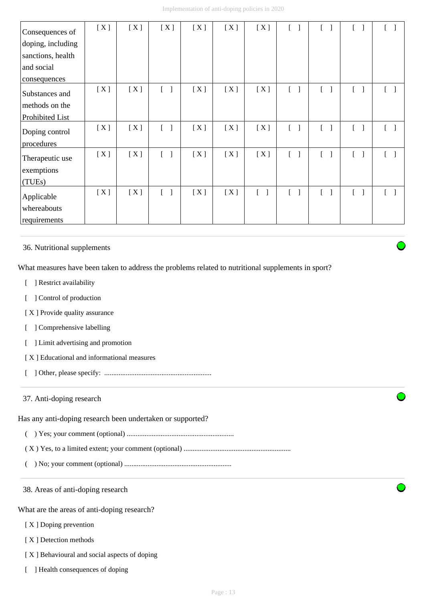| Consequences of   | [X] | [X] | [X]                               | [X] | [X] | [X]                               |                                   |                                   |                                   |                                        |
|-------------------|-----|-----|-----------------------------------|-----|-----|-----------------------------------|-----------------------------------|-----------------------------------|-----------------------------------|----------------------------------------|
| doping, including |     |     |                                   |     |     |                                   |                                   |                                   |                                   |                                        |
| sanctions, health |     |     |                                   |     |     |                                   |                                   |                                   |                                   |                                        |
| and social        |     |     |                                   |     |     |                                   |                                   |                                   |                                   |                                        |
| consequences      |     |     |                                   |     |     |                                   |                                   |                                   |                                   |                                        |
| Substances and    | [X] | [X] | $\begin{bmatrix} 1 \end{bmatrix}$ | [X] | [X] | [X]                               | $[\ ]$                            | $\begin{bmatrix} 1 \end{bmatrix}$ | $\begin{bmatrix} 1 \end{bmatrix}$ | $\begin{bmatrix} & \\ & \end{bmatrix}$ |
| methods on the    |     |     |                                   |     |     |                                   |                                   |                                   |                                   |                                        |
| Prohibited List   |     |     |                                   |     |     |                                   |                                   |                                   |                                   |                                        |
| Doping control    | [X] | [X] | $\begin{bmatrix} 1 \end{bmatrix}$ | [X] | [X] | [X]                               | $[\ ]$                            | $[\ ]$                            | $\lceil \; \rceil$                | $\begin{bmatrix} 1 \end{bmatrix}$      |
| procedures        |     |     |                                   |     |     |                                   |                                   |                                   |                                   |                                        |
| Therapeutic use   | [X] | [X] | $\begin{bmatrix} 1 \end{bmatrix}$ | [X] | [X] | [X]                               | $[\ ]$                            | $\lceil \; \rceil$                |                                   |                                        |
| exemptions        |     |     |                                   |     |     |                                   |                                   |                                   |                                   |                                        |
| (TUEs)            |     |     |                                   |     |     |                                   |                                   |                                   |                                   |                                        |
| Applicable        | [X] | [X] | $\begin{bmatrix} 1 \end{bmatrix}$ | [X] | [X] | $\begin{bmatrix} 1 \end{bmatrix}$ | $\begin{bmatrix} 1 \end{bmatrix}$ | $\lceil$ 1                        |                                   |                                        |
| whereabouts       |     |     |                                   |     |     |                                   |                                   |                                   |                                   |                                        |
| requirements      |     |     |                                   |     |     |                                   |                                   |                                   |                                   |                                        |

36. Nutritional supplements

What measures have been taken to address the problems related to nutritional supplements in sport?

- [ ] Restrict availability
- [ ] Control of production
- [X] Provide quality assurance
- [ ] Comprehensive labelling
- [ ] Limit advertising and promotion
- [ X ] Educational and informational measures
- [ ] Other, please specify: ............................................................

# 37. Anti-doping research

Has any anti-doping research been undertaken or supported?

- ( ) Yes; your comment (optional) ............................................................
- ( X ) Yes, to a limited extent; your comment (optional) ............................................................
- ( ) No; your comment (optional) ............................................................

38. Areas of anti-doping research

What are the areas of anti-doping research?

- [ X ] Doping prevention
- [X] Detection methods
- [ X ] Behavioural and social aspects of doping
- [ ] Health consequences of doping